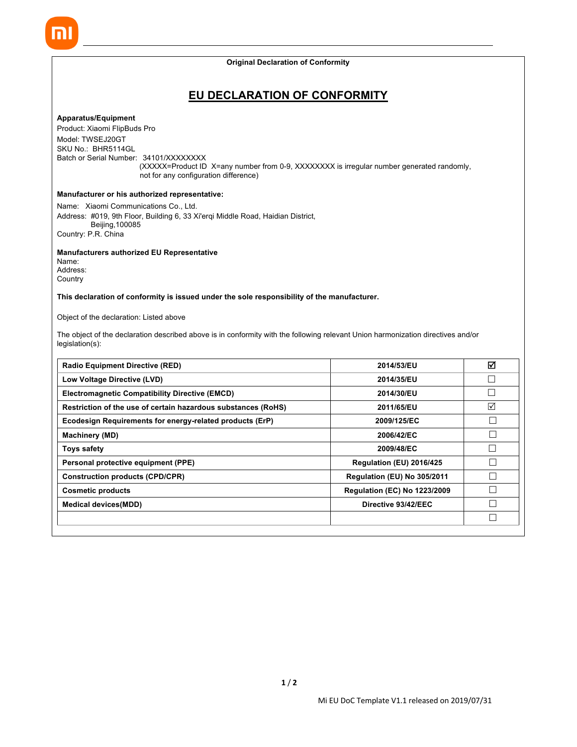**Original Declaration of Conformity**

# **EU DECLARATION OF CONFORMITY**

## **Apparatus/Equipment**

Product: Xiaomi FlipBuds Pro Model: TWSEJ20GT SKU No.: BHR5114GL Batch or Serial Number: 34101/XXXXXXXX (XXXXX=Product ID X=any number from 0-9, XXXXXXXX is irregular number generated randomly, not for any configuration difference)

# **Manufacturer or his authorized representative:**

Name: Xiaomi Communications Co., Ltd. Address: #019, 9th Floor, Building 6, 33 Xi'erqi Middle Road, Haidian District, Beijing,100085 Country: P.R. China

**Manufacturers authorized EU Representative**

Name: Address: **Country** 

**This declaration of conformity is issued under the sole responsibility of the manufacturer.**

## Object of the declaration: Listed above

The object of the declaration described above is in conformity with the following relevant Union harmonization directives and/or legislation(s):

| <b>Radio Equipment Directive (RED)</b>                        | 2014/53/EU                          | ☑ |
|---------------------------------------------------------------|-------------------------------------|---|
| Low Voltage Directive (LVD)                                   | 2014/35/EU                          |   |
| <b>Electromagnetic Compatibility Directive (EMCD)</b>         | 2014/30/EU                          |   |
| Restriction of the use of certain hazardous substances (RoHS) | 2011/65/EU                          | ☑ |
| Ecodesign Requirements for energy-related products (ErP)      | 2009/125/EC                         |   |
| <b>Machinery (MD)</b>                                         | 2006/42/EC                          |   |
| <b>Toys safety</b>                                            | 2009/48/EC                          |   |
| Personal protective equipment (PPE)                           | Regulation (EU) 2016/425            |   |
| <b>Construction products (CPD/CPR)</b>                        | Regulation (EU) No 305/2011         |   |
| <b>Cosmetic products</b>                                      | <b>Regulation (EC) No 1223/2009</b> |   |
| <b>Medical devices (MDD)</b>                                  | Directive 93/42/EEC                 |   |
|                                                               |                                     |   |